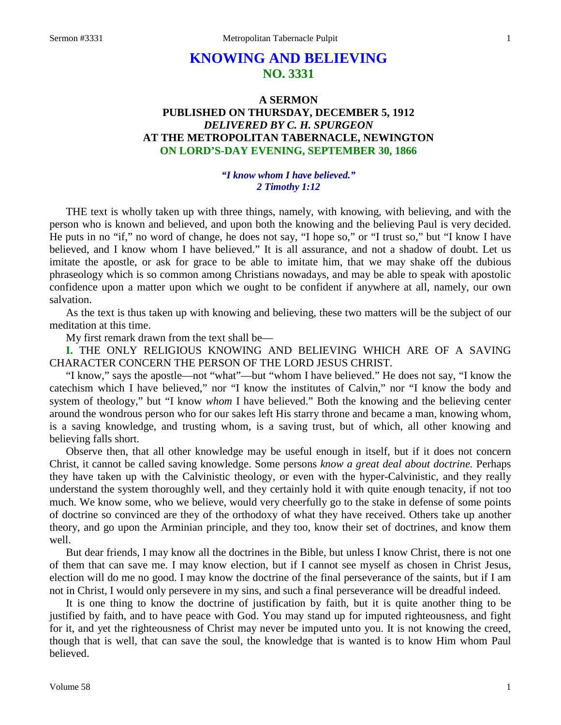# **KNOWING AND BELIEVING NO. 3331**

## **A SERMON PUBLISHED ON THURSDAY, DECEMBER 5, 1912** *DELIVERED BY C. H. SPURGEON* **AT THE METROPOLITAN TABERNACLE, NEWINGTON ON LORD'S-DAY EVENING, SEPTEMBER 30, 1866**

### *"I know whom I have believed." 2 Timothy 1:12*

THE text is wholly taken up with three things, namely, with knowing, with believing, and with the person who is known and believed, and upon both the knowing and the believing Paul is very decided. He puts in no "if," no word of change, he does not say, "I hope so," or "I trust so," but "I know I have believed, and I know whom I have believed." It is all assurance, and not a shadow of doubt. Let us imitate the apostle, or ask for grace to be able to imitate him, that we may shake off the dubious phraseology which is so common among Christians nowadays, and may be able to speak with apostolic confidence upon a matter upon which we ought to be confident if anywhere at all, namely, our own salvation.

As the text is thus taken up with knowing and believing, these two matters will be the subject of our meditation at this time.

My first remark drawn from the text shall be—

**I.** THE ONLY RELIGIOUS KNOWING AND BELIEVING WHICH ARE OF A SAVING CHARACTER CONCERN THE PERSON OF THE LORD JESUS CHRIST.

"I know," says the apostle—not "what"—but "whom I have believed." He does not say, "I know the catechism which I have believed," nor "I know the institutes of Calvin," nor "I know the body and system of theology," but "I know *whom* I have believed." Both the knowing and the believing center around the wondrous person who for our sakes left His starry throne and became a man, knowing whom, is a saving knowledge, and trusting whom, is a saving trust, but of which, all other knowing and believing falls short.

Observe then, that all other knowledge may be useful enough in itself, but if it does not concern Christ, it cannot be called saving knowledge. Some persons *know a great deal about doctrine.* Perhaps they have taken up with the Calvinistic theology, or even with the hyper-Calvinistic, and they really understand the system thoroughly well, and they certainly hold it with quite enough tenacity, if not too much. We know some, who we believe, would very cheerfully go to the stake in defense of some points of doctrine so convinced are they of the orthodoxy of what they have received. Others take up another theory, and go upon the Arminian principle, and they too, know their set of doctrines, and know them well.

But dear friends, I may know all the doctrines in the Bible, but unless I know Christ, there is not one of them that can save me. I may know election, but if I cannot see myself as chosen in Christ Jesus, election will do me no good. I may know the doctrine of the final perseverance of the saints, but if I am not in Christ, I would only persevere in my sins, and such a final perseverance will be dreadful indeed.

It is one thing to know the doctrine of justification by faith, but it is quite another thing to be justified by faith, and to have peace with God. You may stand up for imputed righteousness, and fight for it, and yet the righteousness of Christ may never be imputed unto you. It is not knowing the creed, though that is well, that can save the soul, the knowledge that is wanted is to know Him whom Paul believed.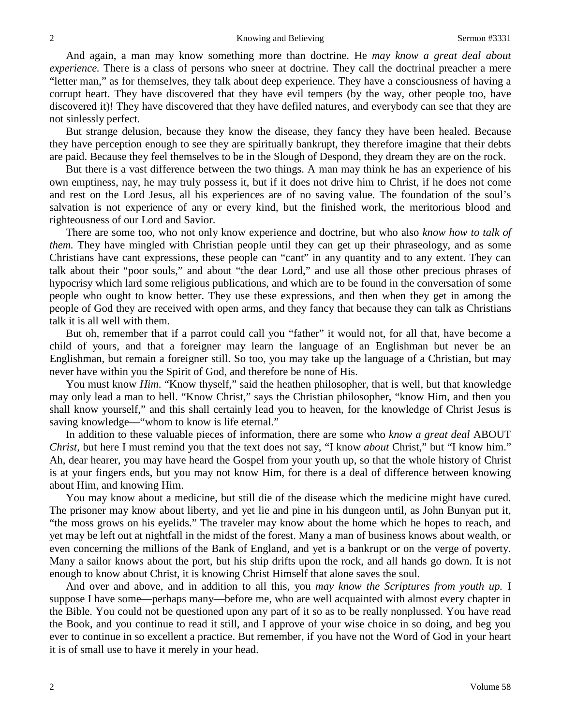And again, a man may know something more than doctrine. He *may know a great deal about experience*. There is a class of persons who sneer at doctrine. They call the doctrinal preacher a mere "letter man," as for themselves, they talk about deep experience. They have a consciousness of having a corrupt heart. They have discovered that they have evil tempers (by the way, other people too, have discovered it)! They have discovered that they have defiled natures, and everybody can see that they are not sinlessly perfect.

But strange delusion, because they know the disease, they fancy they have been healed. Because they have perception enough to see they are spiritually bankrupt, they therefore imagine that their debts are paid. Because they feel themselves to be in the Slough of Despond, they dream they are on the rock.

But there is a vast difference between the two things. A man may think he has an experience of his own emptiness, nay, he may truly possess it, but if it does not drive him to Christ, if he does not come and rest on the Lord Jesus, all his experiences are of no saving value. The foundation of the soul's salvation is not experience of any or every kind, but the finished work, the meritorious blood and righteousness of our Lord and Savior.

There are some too, who not only know experience and doctrine, but who also *know how to talk of them.* They have mingled with Christian people until they can get up their phraseology, and as some Christians have cant expressions, these people can "cant" in any quantity and to any extent. They can talk about their "poor souls," and about "the dear Lord," and use all those other precious phrases of hypocrisy which lard some religious publications, and which are to be found in the conversation of some people who ought to know better. They use these expressions, and then when they get in among the people of God they are received with open arms, and they fancy that because they can talk as Christians talk it is all well with them.

But oh, remember that if a parrot could call you "father" it would not, for all that, have become a child of yours, and that a foreigner may learn the language of an Englishman but never be an Englishman, but remain a foreigner still. So too, you may take up the language of a Christian, but may never have within you the Spirit of God, and therefore be none of His.

You must know *Him*. "Know thyself," said the heathen philosopher, that is well, but that knowledge may only lead a man to hell. "Know Christ," says the Christian philosopher, "know Him, and then you shall know yourself," and this shall certainly lead you to heaven, for the knowledge of Christ Jesus is saving knowledge—"whom to know is life eternal."

In addition to these valuable pieces of information, there are some who *know a great deal* ABOUT *Christ,* but here I must remind you that the text does not say, "I know *about* Christ," but "I know him." Ah, dear hearer, you may have heard the Gospel from your youth up, so that the whole history of Christ is at your fingers ends, but you may not know Him, for there is a deal of difference between knowing about Him, and knowing Him.

You may know about a medicine, but still die of the disease which the medicine might have cured. The prisoner may know about liberty, and yet lie and pine in his dungeon until, as John Bunyan put it, "the moss grows on his eyelids." The traveler may know about the home which he hopes to reach, and yet may be left out at nightfall in the midst of the forest. Many a man of business knows about wealth, or even concerning the millions of the Bank of England, and yet is a bankrupt or on the verge of poverty. Many a sailor knows about the port, but his ship drifts upon the rock, and all hands go down. It is not enough to know about Christ, it is knowing Christ Himself that alone saves the soul.

And over and above, and in addition to all this, you *may know the Scriptures from youth up.* I suppose I have some—perhaps many—before me, who are well acquainted with almost every chapter in the Bible. You could not be questioned upon any part of it so as to be really nonplussed. You have read the Book, and you continue to read it still, and I approve of your wise choice in so doing, and beg you ever to continue in so excellent a practice. But remember, if you have not the Word of God in your heart it is of small use to have it merely in your head.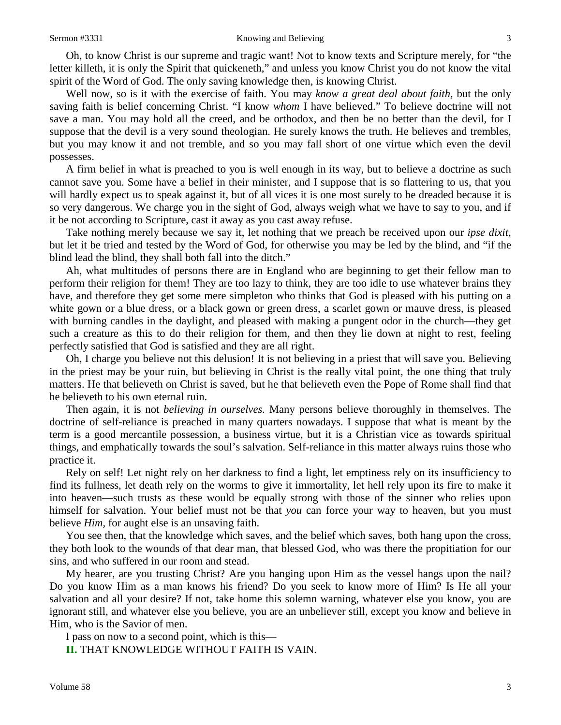#### Sermon #3331 Knowing and Believing 3

Oh, to know Christ is our supreme and tragic want! Not to know texts and Scripture merely, for "the letter killeth, it is only the Spirit that quickeneth," and unless you know Christ you do not know the vital spirit of the Word of God. The only saving knowledge then, is knowing Christ.

Well now, so is it with the exercise of faith. You may *know a great deal about faith,* but the only saving faith is belief concerning Christ. "I know *whom* I have believed." To believe doctrine will not save a man. You may hold all the creed, and be orthodox, and then be no better than the devil, for I suppose that the devil is a very sound theologian. He surely knows the truth. He believes and trembles, but you may know it and not tremble, and so you may fall short of one virtue which even the devil possesses.

A firm belief in what is preached to you is well enough in its way, but to believe a doctrine as such cannot save you. Some have a belief in their minister, and I suppose that is so flattering to us, that you will hardly expect us to speak against it, but of all vices it is one most surely to be dreaded because it is so very dangerous. We charge you in the sight of God, always weigh what we have to say to you, and if it be not according to Scripture, cast it away as you cast away refuse.

Take nothing merely because we say it, let nothing that we preach be received upon our *ipse dixit,* but let it be tried and tested by the Word of God, for otherwise you may be led by the blind, and "if the blind lead the blind, they shall both fall into the ditch."

Ah, what multitudes of persons there are in England who are beginning to get their fellow man to perform their religion for them! They are too lazy to think, they are too idle to use whatever brains they have, and therefore they get some mere simpleton who thinks that God is pleased with his putting on a white gown or a blue dress, or a black gown or green dress, a scarlet gown or mauve dress, is pleased with burning candles in the daylight, and pleased with making a pungent odor in the church—they get such a creature as this to do their religion for them, and then they lie down at night to rest, feeling perfectly satisfied that God is satisfied and they are all right.

Oh, I charge you believe not this delusion! It is not believing in a priest that will save you. Believing in the priest may be your ruin, but believing in Christ is the really vital point, the one thing that truly matters. He that believeth on Christ is saved, but he that believeth even the Pope of Rome shall find that he believeth to his own eternal ruin.

Then again, it is not *believing in ourselves.* Many persons believe thoroughly in themselves. The doctrine of self-reliance is preached in many quarters nowadays. I suppose that what is meant by the term is a good mercantile possession, a business virtue, but it is a Christian vice as towards spiritual things, and emphatically towards the soul's salvation. Self-reliance in this matter always ruins those who practice it.

Rely on self! Let night rely on her darkness to find a light, let emptiness rely on its insufficiency to find its fullness, let death rely on the worms to give it immortality, let hell rely upon its fire to make it into heaven—such trusts as these would be equally strong with those of the sinner who relies upon himself for salvation. Your belief must not be that *you* can force your way to heaven, but you must believe *Him,* for aught else is an unsaving faith.

You see then, that the knowledge which saves, and the belief which saves, both hang upon the cross, they both look to the wounds of that dear man, that blessed God, who was there the propitiation for our sins, and who suffered in our room and stead.

My hearer, are you trusting Christ? Are you hanging upon Him as the vessel hangs upon the nail? Do you know Him as a man knows his friend? Do you seek to know more of Him? Is He all your salvation and all your desire? If not, take home this solemn warning, whatever else you know, you are ignorant still, and whatever else you believe, you are an unbeliever still, except you know and believe in Him, who is the Savior of men.

I pass on now to a second point, which is this—

**II.** THAT KNOWLEDGE WITHOUT FAITH IS VAIN.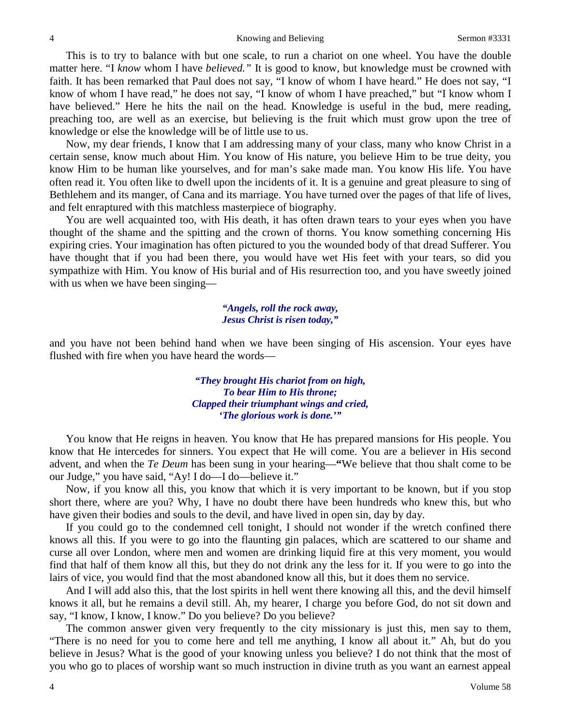This is to try to balance with but one scale, to run a chariot on one wheel. You have the double matter here. "I *know* whom I have *believed."* It is good to know, but knowledge must be crowned with faith. It has been remarked that Paul does not say, "I know of whom I have heard." He does not say, "I know of whom I have read," he does not say, "I know of whom I have preached," but "I know whom I have believed." Here he hits the nail on the head. Knowledge is useful in the bud, mere reading, preaching too, are well as an exercise, but believing is the fruit which must grow upon the tree of knowledge or else the knowledge will be of little use to us.

Now, my dear friends, I know that I am addressing many of your class, many who know Christ in a certain sense, know much about Him. You know of His nature, you believe Him to be true deity, you know Him to be human like yourselves, and for man's sake made man. You know His life. You have often read it. You often like to dwell upon the incidents of it. It is a genuine and great pleasure to sing of Bethlehem and its manger, of Cana and its marriage. You have turned over the pages of that life of lives, and felt enraptured with this matchless masterpiece of biography.

You are well acquainted too, with His death, it has often drawn tears to your eyes when you have thought of the shame and the spitting and the crown of thorns. You know something concerning His expiring cries. Your imagination has often pictured to you the wounded body of that dread Sufferer. You have thought that if you had been there, you would have wet His feet with your tears, so did you sympathize with Him. You know of His burial and of His resurrection too, and you have sweetly joined with us when we have been singing—

### *"Angels, roll the rock away, Jesus Christ is risen today,"*

and you have not been behind hand when we have been singing of His ascension. Your eyes have flushed with fire when you have heard the words—

> *"They brought His chariot from on high, To bear Him to His throne; Clapped their triumphant wings and cried, 'The glorious work is done.'"*

You know that He reigns in heaven. You know that He has prepared mansions for His people. You know that He intercedes for sinners. You expect that He will come. You are a believer in His second advent, and when the *Te Deum* has been sung in your hearing—**"**We believe that thou shalt come to be our Judge," you have said, "Ay! I do—I do—believe it."

Now, if you know all this, you know that which it is very important to be known, but if you stop short there, where are you? Why, I have no doubt there have been hundreds who knew this, but who have given their bodies and souls to the devil, and have lived in open sin, day by day.

If you could go to the condemned cell tonight, I should not wonder if the wretch confined there knows all this. If you were to go into the flaunting gin palaces, which are scattered to our shame and curse all over London, where men and women are drinking liquid fire at this very moment, you would find that half of them know all this, but they do not drink any the less for it. If you were to go into the lairs of vice, you would find that the most abandoned know all this, but it does them no service.

And I will add also this, that the lost spirits in hell went there knowing all this, and the devil himself knows it all, but he remains a devil still. Ah, my hearer, I charge you before God, do not sit down and say, "I know, I know, I know." Do you believe? Do you believe?

The common answer given very frequently to the city missionary is just this, men say to them, "There is no need for you to come here and tell me anything, I know all about it." Ah, but do you believe in Jesus? What is the good of your knowing unless you believe? I do not think that the most of you who go to places of worship want so much instruction in divine truth as you want an earnest appeal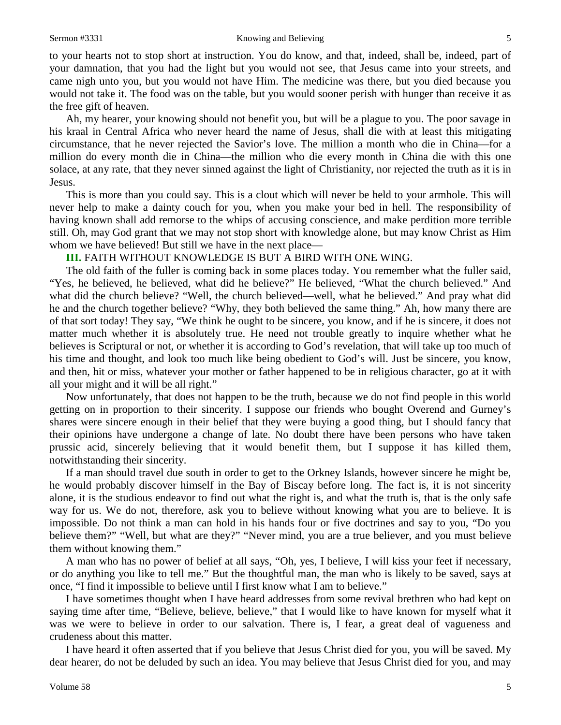#### Sermon #3331 Knowing and Believing 5

to your hearts not to stop short at instruction. You do know, and that, indeed, shall be, indeed, part of your damnation, that you had the light but you would not see, that Jesus came into your streets, and came nigh unto you, but you would not have Him. The medicine was there, but you died because you would not take it. The food was on the table, but you would sooner perish with hunger than receive it as the free gift of heaven.

Ah, my hearer, your knowing should not benefit you, but will be a plague to you. The poor savage in his kraal in Central Africa who never heard the name of Jesus, shall die with at least this mitigating circumstance, that he never rejected the Savior's love. The million a month who die in China—for a million do every month die in China—the million who die every month in China die with this one solace, at any rate, that they never sinned against the light of Christianity, nor rejected the truth as it is in Jesus.

This is more than you could say. This is a clout which will never be held to your armhole. This will never help to make a dainty couch for you, when you make your bed in hell. The responsibility of having known shall add remorse to the whips of accusing conscience, and make perdition more terrible still. Oh, may God grant that we may not stop short with knowledge alone, but may know Christ as Him whom we have believed! But still we have in the next place—

### **III.** FAITH WITHOUT KNOWLEDGE IS BUT A BIRD WITH ONE WING.

The old faith of the fuller is coming back in some places today. You remember what the fuller said, "Yes, he believed, he believed, what did he believe?" He believed, "What the church believed." And what did the church believe? "Well, the church believed—well, what he believed." And pray what did he and the church together believe? "Why, they both believed the same thing." Ah, how many there are of that sort today! They say, "We think he ought to be sincere, you know, and if he is sincere, it does not matter much whether it is absolutely true. He need not trouble greatly to inquire whether what he believes is Scriptural or not, or whether it is according to God's revelation, that will take up too much of his time and thought, and look too much like being obedient to God's will. Just be sincere, you know, and then, hit or miss, whatever your mother or father happened to be in religious character, go at it with all your might and it will be all right."

Now unfortunately, that does not happen to be the truth, because we do not find people in this world getting on in proportion to their sincerity. I suppose our friends who bought Overend and Gurney's shares were sincere enough in their belief that they were buying a good thing, but I should fancy that their opinions have undergone a change of late. No doubt there have been persons who have taken prussic acid, sincerely believing that it would benefit them, but I suppose it has killed them, notwithstanding their sincerity.

If a man should travel due south in order to get to the Orkney Islands, however sincere he might be, he would probably discover himself in the Bay of Biscay before long. The fact is, it is not sincerity alone, it is the studious endeavor to find out what the right is, and what the truth is, that is the only safe way for us. We do not, therefore, ask you to believe without knowing what you are to believe. It is impossible. Do not think a man can hold in his hands four or five doctrines and say to you, "Do you believe them?" "Well, but what are they?" "Never mind, you are a true believer, and you must believe them without knowing them."

A man who has no power of belief at all says, "Oh, yes, I believe, I will kiss your feet if necessary, or do anything you like to tell me." But the thoughtful man, the man who is likely to be saved, says at once, "I find it impossible to believe until I first know what I am to believe."

I have sometimes thought when I have heard addresses from some revival brethren who had kept on saying time after time, "Believe, believe, believe," that I would like to have known for myself what it was we were to believe in order to our salvation. There is, I fear, a great deal of vagueness and crudeness about this matter.

I have heard it often asserted that if you believe that Jesus Christ died for you, you will be saved. My dear hearer, do not be deluded by such an idea. You may believe that Jesus Christ died for you, and may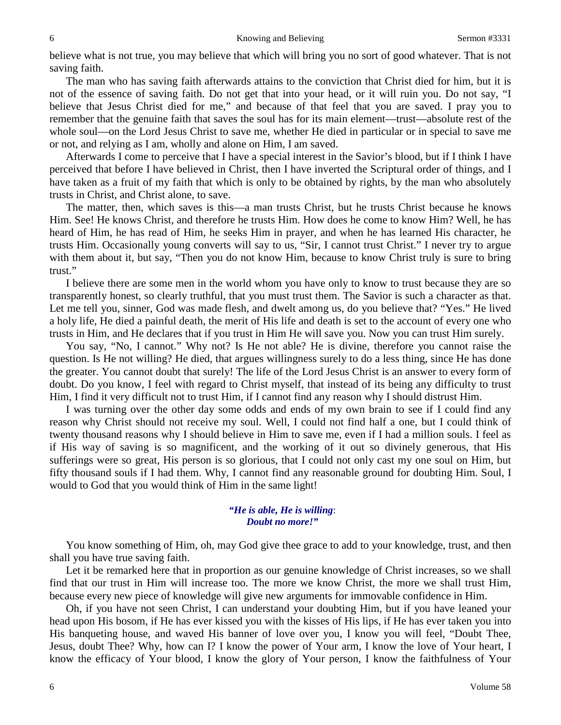believe what is not true, you may believe that which will bring you no sort of good whatever. That is not saving faith.

The man who has saving faith afterwards attains to the conviction that Christ died for him, but it is not of the essence of saving faith. Do not get that into your head, or it will ruin you. Do not say, "I believe that Jesus Christ died for me," and because of that feel that you are saved. I pray you to remember that the genuine faith that saves the soul has for its main element—trust—absolute rest of the whole soul—on the Lord Jesus Christ to save me, whether He died in particular or in special to save me or not, and relying as I am, wholly and alone on Him, I am saved.

Afterwards I come to perceive that I have a special interest in the Savior's blood, but if I think I have perceived that before I have believed in Christ, then I have inverted the Scriptural order of things, and I have taken as a fruit of my faith that which is only to be obtained by rights, by the man who absolutely trusts in Christ, and Christ alone, to save.

The matter, then, which saves is this—a man trusts Christ, but he trusts Christ because he knows Him. See! He knows Christ, and therefore he trusts Him. How does he come to know Him? Well, he has heard of Him, he has read of Him, he seeks Him in prayer, and when he has learned His character, he trusts Him. Occasionally young converts will say to us, "Sir, I cannot trust Christ." I never try to argue with them about it, but say, "Then you do not know Him, because to know Christ truly is sure to bring trust."

I believe there are some men in the world whom you have only to know to trust because they are so transparently honest, so clearly truthful, that you must trust them. The Savior is such a character as that. Let me tell you, sinner, God was made flesh, and dwelt among us, do you believe that? "Yes." He lived a holy life, He died a painful death, the merit of His life and death is set to the account of every one who trusts in Him, and He declares that if you trust in Him He will save you. Now you can trust Him surely.

You say, "No, I cannot." Why not? Is He not able? He is divine, therefore you cannot raise the question. Is He not willing? He died, that argues willingness surely to do a less thing, since He has done the greater. You cannot doubt that surely! The life of the Lord Jesus Christ is an answer to every form of doubt. Do you know, I feel with regard to Christ myself, that instead of its being any difficulty to trust Him, I find it very difficult not to trust Him, if I cannot find any reason why I should distrust Him.

I was turning over the other day some odds and ends of my own brain to see if I could find any reason why Christ should not receive my soul. Well, I could not find half a one, but I could think of twenty thousand reasons why I should believe in Him to save me, even if I had a million souls. I feel as if His way of saving is so magnificent, and the working of it out so divinely generous, that His sufferings were so great, His person is so glorious, that I could not only cast my one soul on Him, but fifty thousand souls if I had them. Why, I cannot find any reasonable ground for doubting Him. Soul, I would to God that you would think of Him in the same light!

### *"He is able, He is willing*: *Doubt no more!"*

You know something of Him, oh, may God give thee grace to add to your knowledge, trust, and then shall you have true saving faith.

Let it be remarked here that in proportion as our genuine knowledge of Christ increases, so we shall find that our trust in Him will increase too. The more we know Christ, the more we shall trust Him, because every new piece of knowledge will give new arguments for immovable confidence in Him.

Oh, if you have not seen Christ, I can understand your doubting Him, but if you have leaned your head upon His bosom, if He has ever kissed you with the kisses of His lips, if He has ever taken you into His banqueting house, and waved His banner of love over you, I know you will feel, "Doubt Thee, Jesus, doubt Thee? Why, how can I? I know the power of Your arm, I know the love of Your heart, I know the efficacy of Your blood, I know the glory of Your person, I know the faithfulness of Your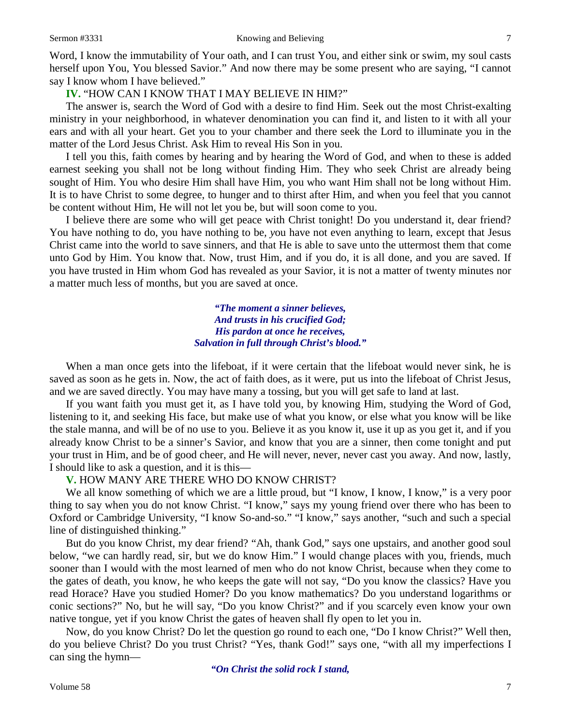Word, I know the immutability of Your oath, and I can trust You, and either sink or swim, my soul casts herself upon You, You blessed Savior." And now there may be some present who are saying, "I cannot say I know whom I have believed."

## **IV.** "HOW CAN I KNOW THAT I MAY BELIEVE IN HIM?"

The answer is, search the Word of God with a desire to find Him. Seek out the most Christ-exalting ministry in your neighborhood, in whatever denomination you can find it, and listen to it with all your ears and with all your heart. Get you to your chamber and there seek the Lord to illuminate you in the matter of the Lord Jesus Christ. Ask Him to reveal His Son in you.

I tell you this, faith comes by hearing and by hearing the Word of God, and when to these is added earnest seeking you shall not be long without finding Him. They who seek Christ are already being sought of Him. You who desire Him shall have Him, you who want Him shall not be long without Him. It is to have Christ to some degree, to hunger and to thirst after Him, and when you feel that you cannot be content without Him, He will not let you be, but will soon come to you.

I believe there are some who will get peace with Christ tonight! Do you understand it, dear friend? You have nothing to do, you have nothing to be*, y*ou have not even anything to learn, except that Jesus Christ came into the world to save sinners, and that He is able to save unto the uttermost them that come unto God by Him. You know that. Now, trust Him, and if you do, it is all done, and you are saved. If you have trusted in Him whom God has revealed as your Savior, it is not a matter of twenty minutes nor a matter much less of months, but you are saved at once.

> *"The moment a sinner believes, And trusts in his crucified God; His pardon at once he receives, Salvation in full through Christ's blood."*

When a man once gets into the lifeboat, if it were certain that the lifeboat would never sink, he is saved as soon as he gets in. Now, the act of faith does, as it were, put us into the lifeboat of Christ Jesus, and we are saved directly. You may have many a tossing, but you will get safe to land at last.

If you want faith you must get it, as I have told you, by knowing Him, studying the Word of God, listening to it, and seeking His face, but make use of what you know, or else what you know will be like the stale manna, and will be of no use to you. Believe it as you know it, use it up as you get it, and if you already know Christ to be a sinner's Savior, and know that you are a sinner, then come tonight and put your trust in Him, and be of good cheer, and He will never, never, never cast you away. And now, lastly, I should like to ask a question, and it is this—

### **V.** HOW MANY ARE THERE WHO DO KNOW CHRIST?

We all know something of which we are a little proud, but "I know, I know, I know," is a very poor thing to say when you do not know Christ. "I know," says my young friend over there who has been to Oxford or Cambridge University, "I know So-and-so." "I know," says another, "such and such a special line of distinguished thinking."

But do you know Christ, my dear friend? "Ah, thank God," says one upstairs, and another good soul below, "we can hardly read, sir, but we do know Him." I would change places with you, friends, much sooner than I would with the most learned of men who do not know Christ, because when they come to the gates of death, you know, he who keeps the gate will not say, "Do you know the classics? Have you read Horace? Have you studied Homer? Do you know mathematics? Do you understand logarithms or conic sections?" No, but he will say, "Do you know Christ?" and if you scarcely even know your own native tongue, yet if you know Christ the gates of heaven shall fly open to let you in.

Now, do you know Christ? Do let the question go round to each one, "Do I know Christ?" Well then, do you believe Christ? Do you trust Christ? "Yes, thank God!" says one, "with all my imperfections I can sing the hymn—

*"On Christ the solid rock I stand,*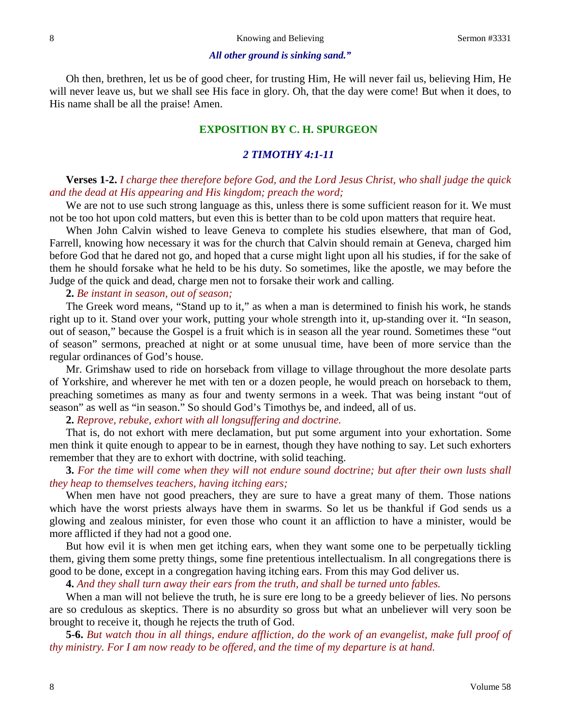### *All other ground is sinking sand."*

Oh then, brethren, let us be of good cheer, for trusting Him, He will never fail us, believing Him, He will never leave us, but we shall see His face in glory. Oh, that the day were come! But when it does, to His name shall be all the praise! Amen.

### **EXPOSITION BY C. H. SPURGEON**

### *2 TIMOTHY 4:1-11*

### **Verses 1-2.** *I charge thee therefore before God, and the Lord Jesus Christ, who shall judge the quick and the dead at His appearing and His kingdom; preach the word;*

We are not to use such strong language as this, unless there is some sufficient reason for it. We must not be too hot upon cold matters, but even this is better than to be cold upon matters that require heat.

When John Calvin wished to leave Geneva to complete his studies elsewhere, that man of God, Farrell, knowing how necessary it was for the church that Calvin should remain at Geneva, charged him before God that he dared not go, and hoped that a curse might light upon all his studies, if for the sake of them he should forsake what he held to be his duty. So sometimes, like the apostle, we may before the Judge of the quick and dead, charge men not to forsake their work and calling.

### **2.** *Be instant in season, out of season;*

The Greek word means, "Stand up to it," as when a man is determined to finish his work, he stands right up to it. Stand over your work, putting your whole strength into it, up-standing over it. "In season, out of season," because the Gospel is a fruit which is in season all the year round. Sometimes these "out of season" sermons, preached at night or at some unusual time, have been of more service than the regular ordinances of God's house.

Mr. Grimshaw used to ride on horseback from village to village throughout the more desolate parts of Yorkshire, and wherever he met with ten or a dozen people, he would preach on horseback to them, preaching sometimes as many as four and twenty sermons in a week. That was being instant "out of season" as well as "in season." So should God's Timothys be, and indeed, all of us.

**2.** *Reprove, rebuke, exhort with all longsuffering and doctrine.*

That is, do not exhort with mere declamation, but put some argument into your exhortation. Some men think it quite enough to appear to be in earnest, though they have nothing to say. Let such exhorters remember that they are to exhort with doctrine, with solid teaching.

**3.** *For the time will come when they will not endure sound doctrine; but after their own lusts shall they heap to themselves teachers, having itching ears;*

When men have not good preachers, they are sure to have a great many of them. Those nations which have the worst priests always have them in swarms. So let us be thankful if God sends us a glowing and zealous minister, for even those who count it an affliction to have a minister, would be more afflicted if they had not a good one.

But how evil it is when men get itching ears, when they want some one to be perpetually tickling them, giving them some pretty things, some fine pretentious intellectualism. In all congregations there is good to be done, except in a congregation having itching ears. From this may God deliver us.

**4.** *And they shall turn away their ears from the truth, and shall be turned unto fables.*

When a man will not believe the truth, he is sure ere long to be a greedy believer of lies. No persons are so credulous as skeptics. There is no absurdity so gross but what an unbeliever will very soon be brought to receive it, though he rejects the truth of God.

**5-6.** *But watch thou in all things, endure affliction, do the work of an evangelist, make full proof of thy ministry. For I am now ready to be offered, and the time of my departure is at hand.*